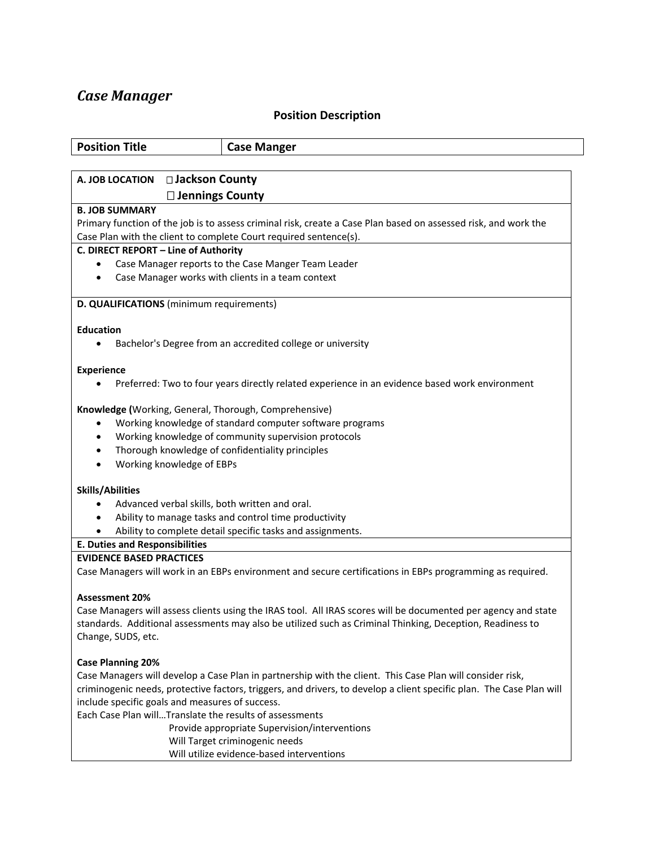## *Case Manager*

## **Position Description**

| <b>Position Description</b>                                                                                          |                                                                                                                 |
|----------------------------------------------------------------------------------------------------------------------|-----------------------------------------------------------------------------------------------------------------|
| <b>Position Title</b>                                                                                                | <b>Case Manger</b>                                                                                              |
|                                                                                                                      |                                                                                                                 |
| □ Jackson County<br>A. JOB LOCATION                                                                                  |                                                                                                                 |
| $\square$ Jennings County                                                                                            |                                                                                                                 |
| <b>B. JOB SUMMARY</b>                                                                                                |                                                                                                                 |
| Case Plan with the client to complete Court required sentence(s).                                                    | Primary function of the job is to assess criminal risk, create a Case Plan based on assessed risk, and work the |
| C. DIRECT REPORT - Line of Authority                                                                                 |                                                                                                                 |
|                                                                                                                      | Case Manager reports to the Case Manger Team Leader                                                             |
| $\bullet$                                                                                                            | Case Manager works with clients in a team context                                                               |
| D. QUALIFICATIONS (minimum requirements)                                                                             |                                                                                                                 |
| <b>Education</b>                                                                                                     |                                                                                                                 |
|                                                                                                                      | Bachelor's Degree from an accredited college or university                                                      |
| <b>Experience</b>                                                                                                    |                                                                                                                 |
|                                                                                                                      | Preferred: Two to four years directly related experience in an evidence based work environment                  |
| Knowledge (Working, General, Thorough, Comprehensive)                                                                |                                                                                                                 |
| $\bullet$                                                                                                            | Working knowledge of standard computer software programs                                                        |
|                                                                                                                      | Working knowledge of community supervision protocols                                                            |
| Thorough knowledge of confidentiality principles                                                                     |                                                                                                                 |
| Working knowledge of EBPs                                                                                            |                                                                                                                 |
| <b>Skills/Abilities</b>                                                                                              |                                                                                                                 |
| Advanced verbal skills, both written and oral.                                                                       |                                                                                                                 |
|                                                                                                                      | Ability to manage tasks and control time productivity                                                           |
|                                                                                                                      | Ability to complete detail specific tasks and assignments.                                                      |
| <b>E. Duties and Responsibilities</b>                                                                                |                                                                                                                 |
| <b>EVIDENCE BASED PRACTICES</b>                                                                                      |                                                                                                                 |
|                                                                                                                      | Case Managers will work in an EBPs environment and secure certifications in EBPs programming as required.       |
| <b>Assessment 20%</b>                                                                                                |                                                                                                                 |
|                                                                                                                      | Case Managers will assess clients using the IRAS tool. All IRAS scores will be documented per agency and state  |
|                                                                                                                      | standards. Additional assessments may also be utilized such as Criminal Thinking, Deception, Readiness to       |
| Change, SUDS, etc.                                                                                                   |                                                                                                                 |
| <b>Case Planning 20%</b>                                                                                             |                                                                                                                 |
| Case Managers will develop a Case Plan in partnership with the client. This Case Plan will consider risk,            |                                                                                                                 |
| criminogenic needs, protective factors, triggers, and drivers, to develop a client specific plan. The Case Plan will |                                                                                                                 |
| include specific goals and measures of success.                                                                      |                                                                                                                 |
| Each Case Plan willTranslate the results of assessments                                                              |                                                                                                                 |

 Provide appropriate Supervision/interventions Will Target criminogenic needs Will utilize evidence-based interventions